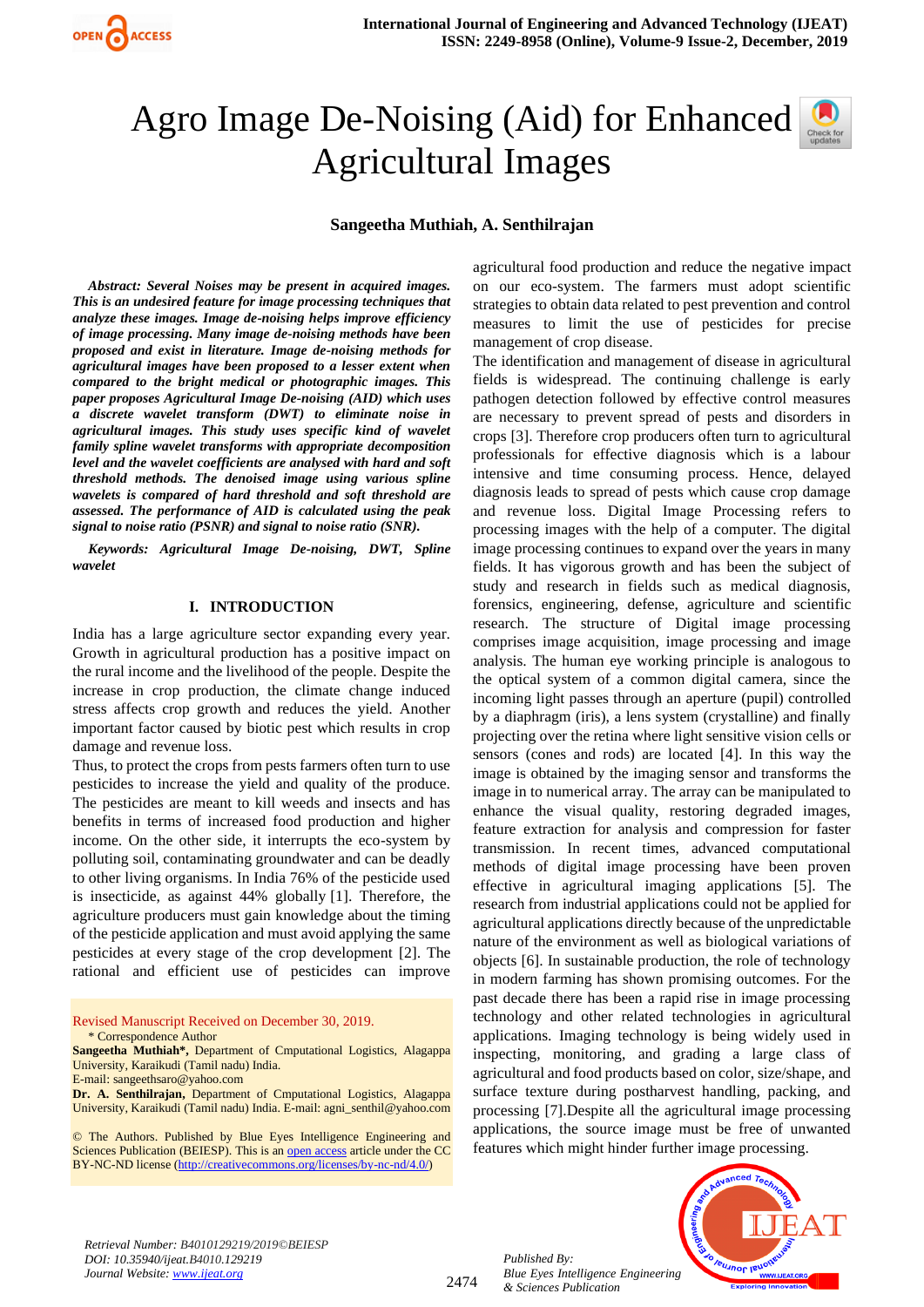

# Agro Image De-Noising (Aid) for Enhanced Agricultural Images

## **Sangeetha Muthiah, A. Senthilrajan**

*Abstract: Several Noises may be present in acquired images. This is an undesired feature for image processing techniques that analyze these images. Image de-noising helps improve efficiency of image processing. Many image de-noising methods have been proposed and exist in literature. Image de-noising methods for agricultural images have been proposed to a lesser extent when compared to the bright medical or photographic images. This paper proposes Agricultural Image De-noising (AID) which uses a discrete wavelet transform (DWT) to eliminate noise in agricultural images. This study uses specific kind of wavelet family spline wavelet transforms with appropriate decomposition level and the wavelet coefficients are analysed with hard and soft threshold methods. The denoised image using various spline wavelets is compared of hard threshold and soft threshold are assessed. The performance of AID is calculated using the peak signal to noise ratio (PSNR) and signal to noise ratio (SNR).*

*Keywords: Agricultural Image De-noising, DWT, Spline wavelet*

#### **I. INTRODUCTION**

India has a large agriculture sector expanding every year. Growth in agricultural production has a positive impact on the rural income and the livelihood of the people. Despite the increase in crop production, the climate change induced stress affects crop growth and reduces the yield. Another important factor caused by biotic pest which results in crop damage and revenue loss.

Thus, to protect the crops from pests farmers often turn to use pesticides to increase the yield and quality of the produce. The pesticides are meant to kill weeds and insects and has benefits in terms of increased food production and higher income. On the other side, it interrupts the eco-system by polluting soil, contaminating groundwater and can be deadly to other living organisms. In India 76% of the pesticide used is insecticide, as against 44% globally [1]. Therefore, the agriculture producers must gain knowledge about the timing of the pesticide application and must avoid applying the same pesticides at every stage of the crop development [2]. The rational and efficient use of pesticides can improve

Revised Manuscript Received on December 30, 2019. \* Correspondence Author

**Sangeetha Muthiah\*,** Department of Cmputational Logistics, Alagappa University, Karaikudi (Tamil nadu) India.

**Dr. A. Senthilrajan,** Department of Cmputational Logistics, Alagappa University, Karaikudi (Tamil nadu) India. E-mail: agni\_senthil@yahoo.com

© The Authors. Published by Blue Eyes Intelligence Engineering and Sciences Publication (BEIESP). This is a[n open access](https://www.openaccess.nl/en/open-publications) article under the CC BY-NC-ND license [\(http://creativecommons.org/licenses/by-nc-nd/4.0/\)](http://creativecommons.org/licenses/by-nc-nd/4.0/)

agricultural food production and reduce the negative impact on our eco-system. The farmers must adopt scientific strategies to obtain data related to pest prevention and control measures to limit the use of pesticides for precise management of crop disease.

The identification and management of disease in agricultural fields is widespread. The continuing challenge is early pathogen detection followed by effective control measures are necessary to prevent spread of pests and disorders in crops [3]. Therefore crop producers often turn to agricultural professionals for effective diagnosis which is a labour intensive and time consuming process. Hence, delayed diagnosis leads to spread of pests which cause crop damage and revenue loss. Digital Image Processing refers to processing images with the help of a computer. The digital image processing continues to expand over the years in many fields. It has vigorous growth and has been the subject of study and research in fields such as medical diagnosis, forensics, engineering, defense, agriculture and scientific research. The structure of Digital image processing comprises image acquisition, image processing and image analysis. The human eye working principle is analogous to the optical system of a common digital camera, since the incoming light passes through an aperture (pupil) controlled by a diaphragm (iris), a lens system (crystalline) and finally projecting over the retina where light sensitive vision cells or sensors (cones and rods) are located [4]. In this way the image is obtained by the imaging sensor and transforms the image in to numerical array. The array can be manipulated to enhance the visual quality, restoring degraded images, feature extraction for analysis and compression for faster transmission. In recent times, advanced computational methods of digital image processing have been proven effective in agricultural imaging applications [5]. The research from industrial applications could not be applied for agricultural applications directly because of the unpredictable nature of the environment as well as biological variations of objects [6]. In sustainable production, the role of technology in modern farming has shown promising outcomes. For the past decade there has been a rapid rise in image processing technology and other related technologies in agricultural applications. Imaging technology is being widely used in inspecting, monitoring, and grading a large class of agricultural and food products based on color, size/shape, and surface texture during postharvest handling, packing, and processing [7].Despite all the agricultural image processing applications, the source image must be free of unwanted features which might hinder further image processing.



*Retrieval Number: B4010129219/2019©BEIESP DOI: 10.35940/ijeat.B4010.129219 Journal Website[: www.ijeat.org](http://www.ijeat.org/)*

2474

E-mail: sangeethsaro@yahoo.com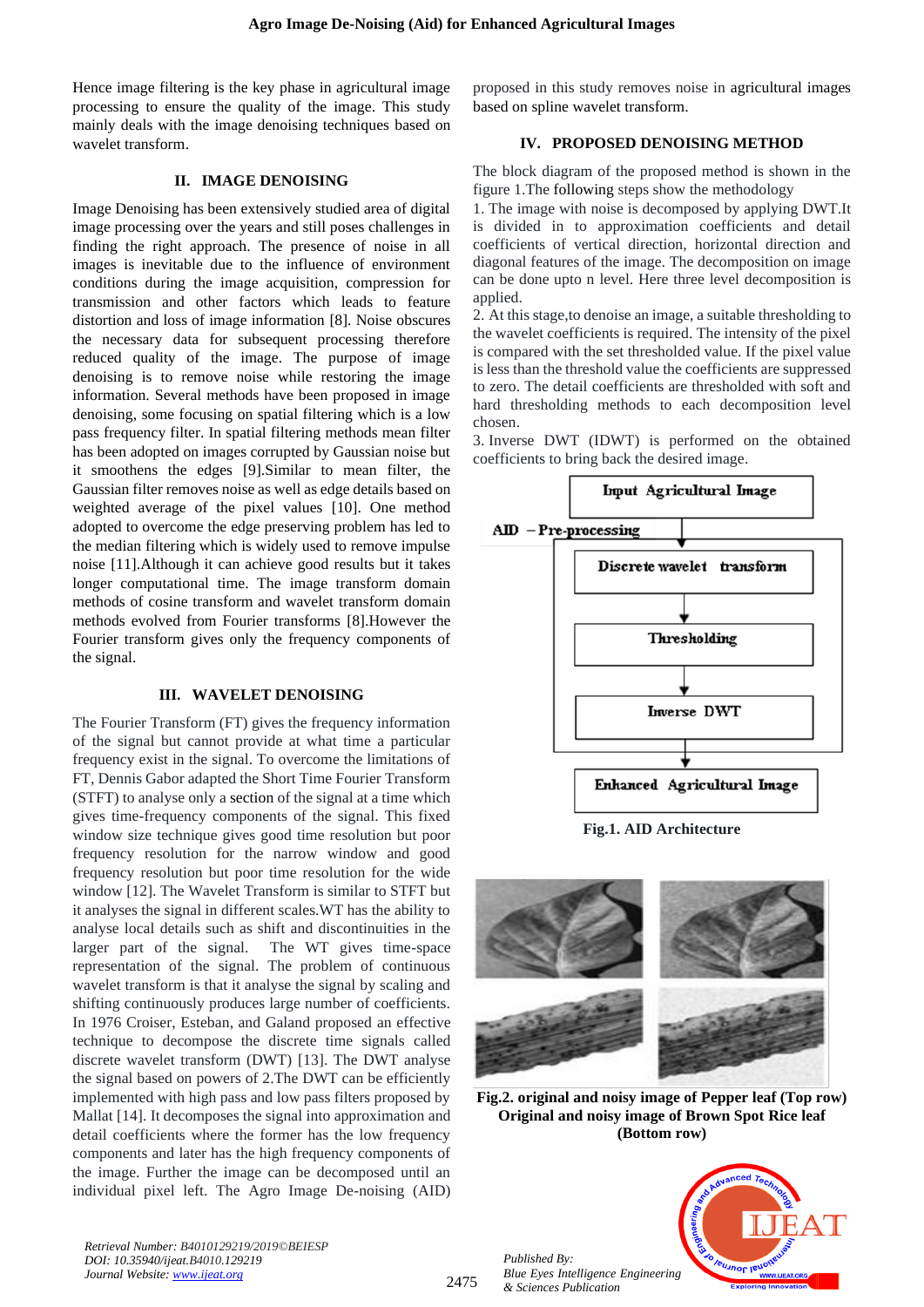Hence image filtering is the key phase in agricultural image processing to ensure the quality of the image. This study mainly deals with the image denoising techniques based on wavelet transform.

## **II. IMAGE DENOISING**

Image Denoising has been extensively studied area of digital image processing over the years and still poses challenges in finding the right approach. The presence of noise in all images is inevitable due to the influence of environment conditions during the image acquisition, compression for transmission and other factors which leads to feature distortion and loss of image information [8]. Noise obscures the necessary data for subsequent processing therefore reduced quality of the image. The purpose of image denoising is to remove noise while restoring the image information. Several methods have been proposed in image denoising, some focusing on spatial filtering which is a low pass frequency filter. In spatial filtering methods mean filter has been adopted on images corrupted by Gaussian noise but it smoothens the edges [9].Similar to mean filter, the Gaussian filter removes noise as well as edge details based on weighted average of the pixel values [10]. One method adopted to overcome the edge preserving problem has led to the median filtering which is widely used to remove impulse noise [11].Although it can achieve good results but it takes longer computational time. The image transform domain methods of cosine transform and wavelet transform domain methods evolved from Fourier transforms [8].However the Fourier transform gives only the frequency components of the signal.

# **III. WAVELET DENOISING**

The Fourier Transform (FT) gives the frequency information of the signal but cannot provide at what time a particular frequency exist in the signal. To overcome the limitations of FT, Dennis Gabor adapted the Short Time Fourier Transform (STFT) to analyse only a section of the signal at a time which gives time-frequency components of the signal. This fixed window size technique gives good time resolution but poor frequency resolution for the narrow window and good frequency resolution but poor time resolution for the wide window [12]. The Wavelet Transform is similar to STFT but it analyses the signal in different scales.WT has the ability to analyse local details such as shift and discontinuities in the larger part of the signal. The WT gives time-space representation of the signal. The problem of continuous wavelet transform is that it analyse the signal by scaling and shifting continuously produces large number of coefficients. In 1976 Croiser, Esteban, and Galand proposed an effective technique to decompose the discrete time signals called discrete wavelet transform (DWT) [13]. The DWT analyse the signal based on powers of 2.The DWT can be efficiently implemented with high pass and low pass filters proposed by Mallat [14]. It decomposes the signal into approximation and detail coefficients where the former has the low frequency components and later has the high frequency components of the image. Further the image can be decomposed until an individual pixel left. The Agro Image De-noising (AID)

proposed in this study removes noise in agricultural images based on spline wavelet transform.

# **IV. PROPOSED DENOISING METHOD**

The block diagram of the proposed method is shown in the figure 1.The following steps show the methodology

1. The image with noise is decomposed by applying DWT.It is divided in to approximation coefficients and detail coefficients of vertical direction, horizontal direction and diagonal features of the image. The decomposition on image can be done upto n level. Here three level decomposition is applied.

2. At this stage,to denoise an image, a suitable thresholding to the wavelet coefficients is required. The intensity of the pixel is compared with the set thresholded value. If the pixel value is less than the threshold value the coefficients are suppressed to zero. The detail coefficients are thresholded with soft and hard thresholding methods to each decomposition level chosen.

3. Inverse DWT (IDWT) is performed on the obtained coefficients to bring back the desired image.





**Fig.2. original and noisy image of Pepper leaf (Top row) Original and noisy image of Brown Spot Rice leaf (Bottom row)**



*Retrieval Number: B4010129219/2019©BEIESP DOI: 10.35940/ijeat.B4010.129219 Journal Website[: www.ijeat.org](http://www.ijeat.org/)*

2475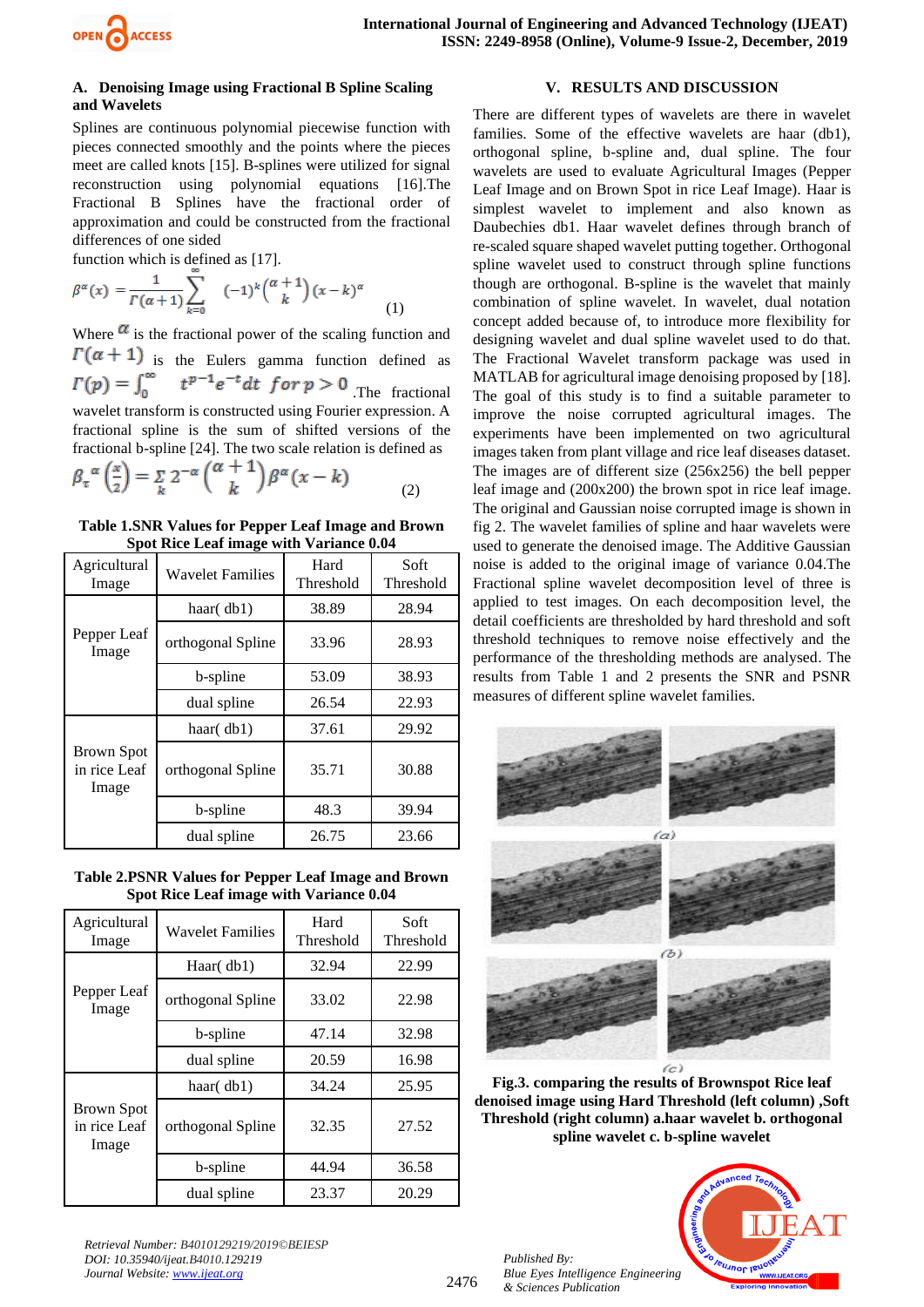

## **A. Denoising Image using Fractional B Spline Scaling and Wavelets**

Splines are continuous polynomial piecewise function with pieces connected smoothly and the points where the pieces meet are called knots [15]. B-splines were utilized for signal reconstruction using polynomial equations [16].The Fractional B Splines have the fractional order of approximation and could be constructed from the fractional differences of one sided

function which is defined as [17].

$$
\beta^{\alpha}(x) = \frac{1}{\Gamma(\alpha+1)} \sum_{k=0}^{\infty} (-1)^{k} \binom{\alpha+1}{k} (x-k)^{\alpha}
$$
 (1)

Where  $\alpha$  is the fractional power of the scaling function and  $\Gamma(\alpha + 1)$  is the Eulers gamma function defined as  $\Gamma(p) = \int_0^\infty t^{p-1} e^{-t} dt$  for  $p > 0$  The fractional wavelet transform is constructed using Fourier expression. A fractional spline is the sum of shifted versions of the fractional b-spline [24]. The two scale relation is defined as

$$
\beta_{\tau}^{\alpha} \left( \frac{x}{2} \right) = \sum_{k} 2^{-\alpha} \binom{\alpha + 1}{k} \beta^{\alpha} (x - k) \tag{2}
$$

**Table 1.SNR Values for Pepper Leaf Image and Brown Spot Rice Leaf image with Variance 0.04**

| Agricultural<br>Image                      | <b>Wavelet Families</b> | Hard<br>Threshold | Soft<br><b>Threshold</b> |
|--------------------------------------------|-------------------------|-------------------|--------------------------|
| Pepper Leaf<br>Image                       | haar $(\text{db1})$     | 38.89             | 28.94                    |
|                                            | orthogonal Spline       | 33.96             | 28.93                    |
|                                            | b-spline                | 53.09             | 38.93                    |
|                                            | dual spline             | 26.54             | 22.93                    |
| <b>Brown Spot</b><br>in rice Leaf<br>Image | haar $(\text{db1})$     | 37.61             | 29.92                    |
|                                            | orthogonal Spline       | 35.71             | 30.88                    |
|                                            | b-spline                | 48.3              | 39.94                    |
|                                            | dual spline             | 26.75             | 23.66                    |

**Table 2.PSNR Values for Pepper Leaf Image and Brown Spot Rice Leaf image with Variance 0.04**

| Agricultural<br>Image               | <b>Wavelet Families</b> | Hard<br>Threshold | Soft<br>Threshold |
|-------------------------------------|-------------------------|-------------------|-------------------|
| Pepper Leaf<br>Image                | Haar $(\text{db1})$     | 32.94             | 22.99             |
|                                     | orthogonal Spline       | 33.02             | 22.98             |
|                                     | b-spline                | 47.14             | 32.98             |
|                                     | dual spline             | 20.59             | 16.98             |
| Brown Spot<br>in rice Leaf<br>Image | haar $(\text{db1})$     | 34.24             | 25.95             |
|                                     | orthogonal Spline       | 32.35             | 27.52             |
|                                     | b-spline                | 44.94             | 36.58             |
|                                     | dual spline             | 23.37             | 20.29             |

*Retrieval Number: B4010129219/2019©BEIESP DOI: 10.35940/ijeat.B4010.129219 Journal Website[: www.ijeat.org](http://www.ijeat.org/)*

# **V. RESULTS AND DISCUSSION**

There are different types of wavelets are there in wavelet families. Some of the effective wavelets are haar (db1), orthogonal spline, b-spline and, dual spline. The four wavelets are used to evaluate Agricultural Images (Pepper Leaf Image and on Brown Spot in rice Leaf Image). Haar is simplest wavelet to implement and also known as Daubechies db1. Haar wavelet defines through branch of re-scaled square shaped wavelet putting together. Orthogonal spline wavelet used to construct through spline functions though are orthogonal. B-spline is the wavelet that mainly combination of spline wavelet. In wavelet, dual notation concept added because of, to introduce more flexibility for designing wavelet and dual spline wavelet used to do that. The Fractional Wavelet transform package was used in MATLAB for agricultural image denoising proposed by [18]. The goal of this study is to find a suitable parameter to improve the noise corrupted agricultural images. The experiments have been implemented on two agricultural images taken from plant village and rice leaf diseases dataset. The images are of different size (256x256) the bell pepper leaf image and (200x200) the brown spot in rice leaf image. The original and Gaussian noise corrupted image is shown in fig 2. The wavelet families of spline and haar wavelets were used to generate the denoised image. The Additive Gaussian noise is added to the original image of variance 0.04.The Fractional spline wavelet decomposition level of three is applied to test images. On each decomposition level, the detail coefficients are thresholded by hard threshold and soft threshold techniques to remove noise effectively and the performance of the thresholding methods are analysed. The results from Table 1 and 2 presents the SNR and PSNR measures of different spline wavelet families.



**Fig.3. comparing the results of Brownspot Rice leaf denoised image using Hard Threshold (left column) ,Soft Threshold (right column) a.haar wavelet b. orthogonal spline wavelet c. b-spline wavelet**

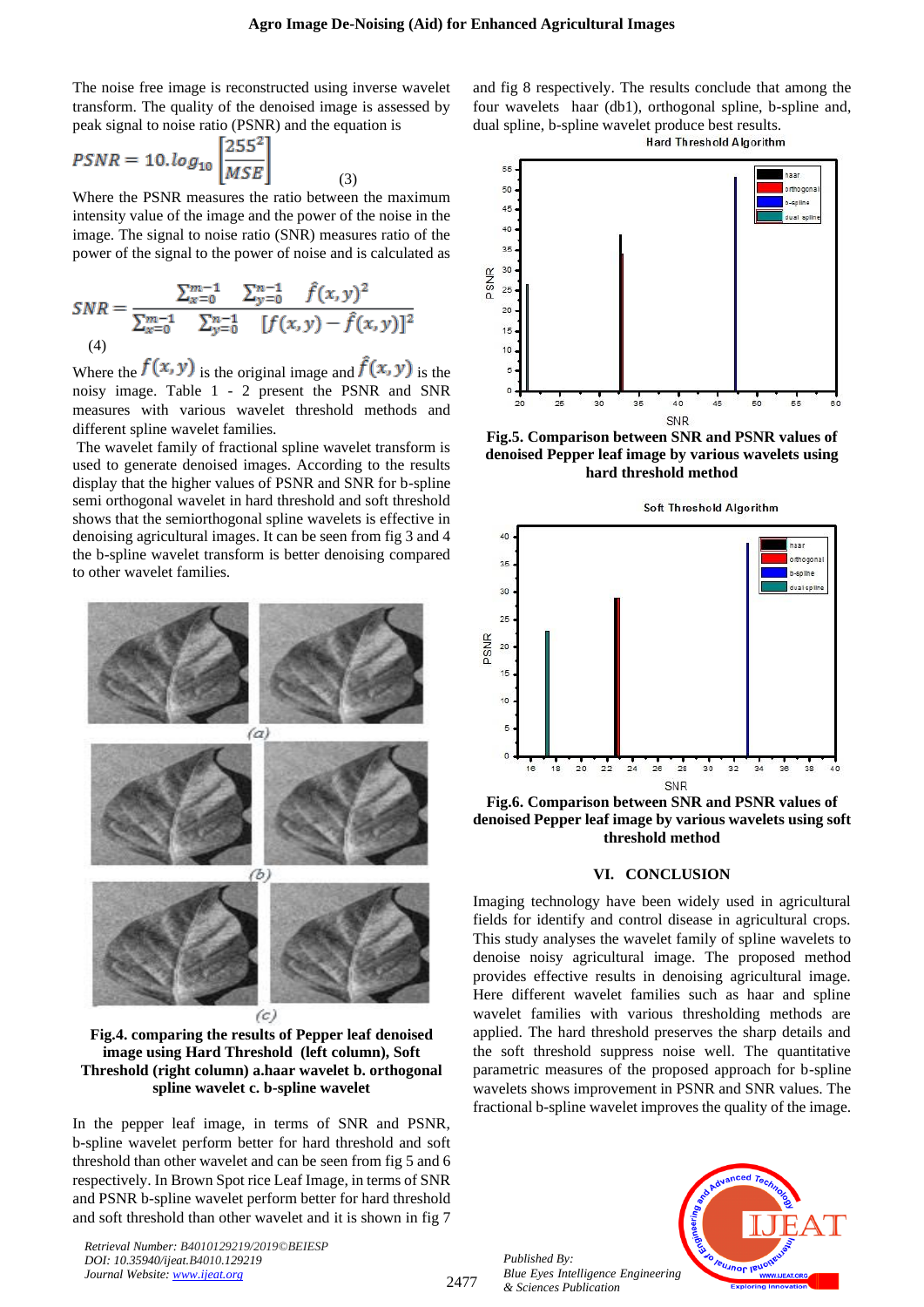The noise free image is reconstructed using inverse wavelet transform. The quality of the denoised image is assessed by peak signal to noise ratio (PSNR) and the equation is

$$
PSNR = 10.log_{10} \left[ \frac{255^2}{MSE} \right]
$$

Where the PSNR measures the ratio between the maximum intensity value of the image and the power of the noise in the image. The signal to noise ratio (SNR) measures ratio of the power of the signal to the power of noise and is calculated as

(3)

$$
SNR = \frac{\sum_{x=0}^{m-1} \sum_{y=0}^{n-1} \hat{f}(x, y)^2}{\sum_{x=0}^{m-1} \sum_{y=0}^{n-1} [f(x, y) - \hat{f}(x, y)]^2}
$$
  
(4)

Where the  $f(x, y)$  is the original image and  $\ddot{f}(x, y)$  is the noisy image. Table 1 - 2 present the PSNR and SNR measures with various wavelet threshold methods and different spline wavelet families.

The wavelet family of fractional spline wavelet transform is used to generate denoised images. According to the results display that the higher values of PSNR and SNR for b-spline semi orthogonal wavelet in hard threshold and soft threshold shows that the semiorthogonal spline wavelets is effective in denoising agricultural images. It can be seen from fig 3 and 4 the b-spline wavelet transform is better denoising compared to other wavelet families.



**Fig.4. comparing the results of Pepper leaf denoised image using Hard Threshold (left column), Soft Threshold (right column) a.haar wavelet b. orthogonal spline wavelet c. b-spline wavelet**

In the pepper leaf image, in terms of SNR and PSNR, b-spline wavelet perform better for hard threshold and soft threshold than other wavelet and can be seen from fig 5 and 6 respectively. In Brown Spot rice Leaf Image, in terms of SNR and PSNR b-spline wavelet perform better for hard threshold and soft threshold than other wavelet and it is shown in fig 7

*Retrieval Number: B4010129219/2019©BEIESP DOI: 10.35940/ijeat.B4010.129219 Journal Website[: www.ijeat.org](http://www.ijeat.org/)*

and fig 8 respectively. The results conclude that among the four wavelets haar (db1), orthogonal spline, b-spline and, dual spline, b-spline wavelet produce best results.

**Hard Threshold Algorithm** 



**Fig.5. Comparison between SNR and PSNR values of denoised Pepper leaf image by various wavelets using hard threshold method**



**Fig.6. Comparison between SNR and PSNR values of denoised Pepper leaf image by various wavelets using soft threshold method**

#### **VI. CONCLUSION**

Imaging technology have been widely used in agricultural fields for identify and control disease in agricultural crops. This study analyses the wavelet family of spline wavelets to denoise noisy agricultural image. The proposed method provides effective results in denoising agricultural image. Here different wavelet families such as haar and spline wavelet families with various thresholding methods are applied. The hard threshold preserves the sharp details and the soft threshold suppress noise well. The quantitative parametric measures of the proposed approach for b-spline wavelets shows improvement in PSNR and SNR values. The fractional b-spline wavelet improves the quality of the image.